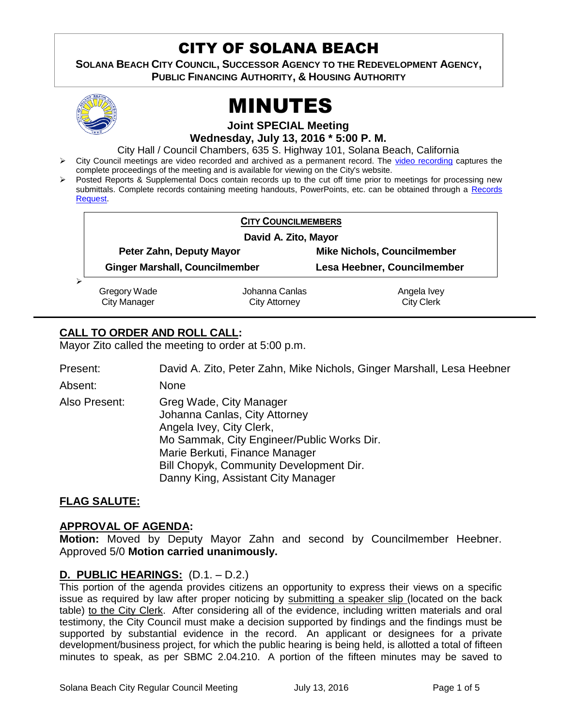# CITY OF SOLANA BEACH

**SOLANA BEACH CITY COUNCIL, SUCCESSOR AGENCY TO THE REDEVELOPMENT AGENCY, PUBLIC FINANCING AUTHORITY, & HOUSING AUTHORITY** 



# MINUTES

**Joint SPECIAL Meeting**

**Wednesday, July 13, 2016 \* 5:00 P. M.**

City Hall / Council Chambers, 635 S. Highway 101, Solana Beach, California

- > City Council meetings are video recorded and archived as a permanent record. The [video recording](http://solanabeach.12milesout.com/#/video/b186408e-a51a-4823-9eb7-37841830d894) captures the complete proceedings of the meeting and is available for viewing on the City's website.
- Posted Reports & Supplemental Docs contain records up to the cut off time prior to meetings for processing new submittals. Complete records containing meeting handouts, PowerPoints, etc. can be obtained through a Records [Request.](http://www.ci.solana-beach.ca.us/index.asp?SEC=F5D45D10-70CE-4291-A27C-7BD633FC6742&Type=B_BASIC)

|   | <b>CITY COUNCILMEMBERS</b>            |                                        |                                    |  |  |
|---|---------------------------------------|----------------------------------------|------------------------------------|--|--|
|   | David A. Zito, Mayor                  |                                        |                                    |  |  |
|   | Peter Zahn, Deputy Mayor              |                                        | <b>Mike Nichols, Councilmember</b> |  |  |
|   | <b>Ginger Marshall, Councilmember</b> |                                        | Lesa Heebner, Councilmember        |  |  |
| ⋗ | Gregory Wade<br><b>City Manager</b>   | Johanna Canlas<br><b>City Attorney</b> | Angela Ivey<br><b>City Clerk</b>   |  |  |

# **CALL TO ORDER AND ROLL CALL:**

Mayor Zito called the meeting to order at 5:00 p.m.

| Present:      | David A. Zito, Peter Zahn, Mike Nichols, Ginger Marshall, Lesa Heebner                                                                                                                                                                                |
|---------------|-------------------------------------------------------------------------------------------------------------------------------------------------------------------------------------------------------------------------------------------------------|
| Absent:       | None                                                                                                                                                                                                                                                  |
| Also Present: | Greg Wade, City Manager<br>Johanna Canlas, City Attorney<br>Angela Ivey, City Clerk,<br>Mo Sammak, City Engineer/Public Works Dir.<br>Marie Berkuti, Finance Manager<br>Bill Chopyk, Community Development Dir.<br>Danny King, Assistant City Manager |

## **FLAG SALUTE:**

#### **APPROVAL OF AGENDA:**

**Motion:** Moved by Deputy Mayor Zahn and second by Councilmember Heebner. Approved 5/0 **Motion carried unanimously.**

## **D. PUBLIC HEARINGS:** (D.1. – D.2.)

This portion of the agenda provides citizens an opportunity to express their views on a specific issue as required by law after proper noticing by submitting a speaker slip (located on the back table) to the City Clerk. After considering all of the evidence, including written materials and oral testimony, the City Council must make a decision supported by findings and the findings must be supported by substantial evidence in the record. An applicant or designees for a private development/business project, for which the public hearing is being held, is allotted a total of fifteen minutes to speak, as per SBMC 2.04.210. A portion of the fifteen minutes may be saved to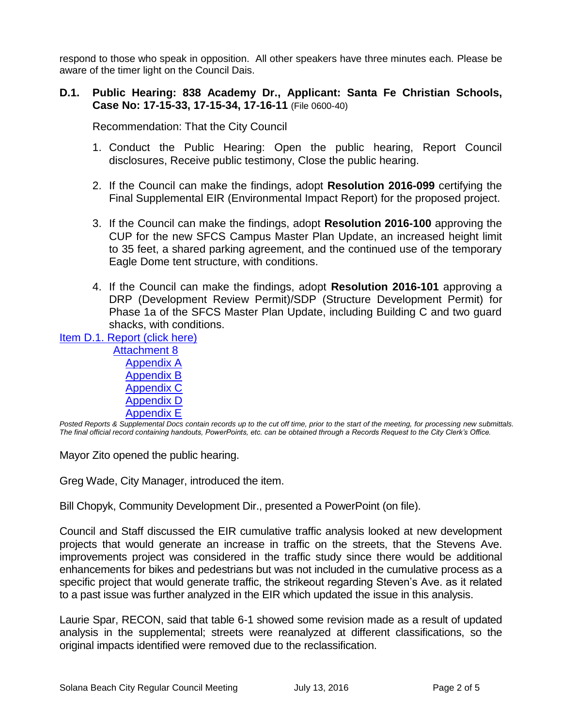respond to those who speak in opposition. All other speakers have three minutes each. Please be aware of the timer light on the Council Dais.

#### **D.1. Public Hearing: 838 Academy Dr., Applicant: Santa Fe Christian Schools, Case No: 17-15-33, 17-15-34, 17-16-11** (File 0600-40)

Recommendation: That the City Council

- 1. Conduct the Public Hearing: Open the public hearing, Report Council disclosures, Receive public testimony, Close the public hearing.
- 2. If the Council can make the findings, adopt **Resolution 2016-099** certifying the Final Supplemental EIR (Environmental Impact Report) for the proposed project.
- 3. If the Council can make the findings, adopt **Resolution 2016-100** approving the CUP for the new SFCS Campus Master Plan Update, an increased height limit to 35 feet, a shared parking agreement, and the continued use of the temporary Eagle Dome tent structure, with conditions.
- 4. If the Council can make the findings, adopt **Resolution 2016-101** approving a DRP (Development Review Permit)/SDP (Structure Development Permit) for Phase 1a of the SFCS Master Plan Update, including Building C and two guard shacks, with conditions.

[Item D.1. Report \(click here\)](https://solanabeach.govoffice3.com/vertical/Sites/%7B840804C2-F869-4904-9AE3-720581350CE7%7D/uploads/Item_D.1._Report_(click_here)_07-13-16.PDF)

[Attachment](https://solanabeach.govoffice3.com/vertical/Sites/%7B840804C2-F869-4904-9AE3-720581350CE7%7D/uploads/Attachment_8_-_EIR.pdf) 8 [Appendix A](https://solanabeach.govoffice3.com/vertical/Sites/%7B840804C2-F869-4904-9AE3-720581350CE7%7D/uploads/Appendix_A_-_NOP.pdf) [Appendix B](https://solanabeach.govoffice3.com/vertical/Sites/%7B840804C2-F869-4904-9AE3-720581350CE7%7D/uploads/Appendix_B_-_Traffic_Impact_Statement_Updated.pdf) [Appendix C](https://solanabeach.govoffice3.com/vertical/Sites/%7B840804C2-F869-4904-9AE3-720581350CE7%7D/uploads/Appendix_C_-_Noise_Modeling_Data.pdf) [Appendix D](https://solanabeach.govoffice3.com/vertical/Sites/%7B840804C2-F869-4904-9AE3-720581350CE7%7D/uploads/Appendix_D_-_Air_Quality_Letter_Report.pdf) [Appendix E](https://solanabeach.govoffice3.com/vertical/Sites/%7B840804C2-F869-4904-9AE3-720581350CE7%7D/uploads/Appendix_E_-_Biological_Resources_Report.pdf)

*Posted Reports & Supplemental Docs contain records up to the cut off time, prior to the start of the meeting, for processing new submittals. The final official record containing handouts, PowerPoints, etc. can be obtained through a Records Request to the City Clerk's Office.*

Mayor Zito opened the public hearing.

Greg Wade, City Manager, introduced the item.

Bill Chopyk, Community Development Dir., presented a PowerPoint (on file).

Council and Staff discussed the EIR cumulative traffic analysis looked at new development projects that would generate an increase in traffic on the streets, that the Stevens Ave. improvements project was considered in the traffic study since there would be additional enhancements for bikes and pedestrians but was not included in the cumulative process as a specific project that would generate traffic, the strikeout regarding Steven's Ave. as it related to a past issue was further analyzed in the EIR which updated the issue in this analysis.

Laurie Spar, RECON, said that table 6-1 showed some revision made as a result of updated analysis in the supplemental; streets were reanalyzed at different classifications, so the original impacts identified were removed due to the reclassification.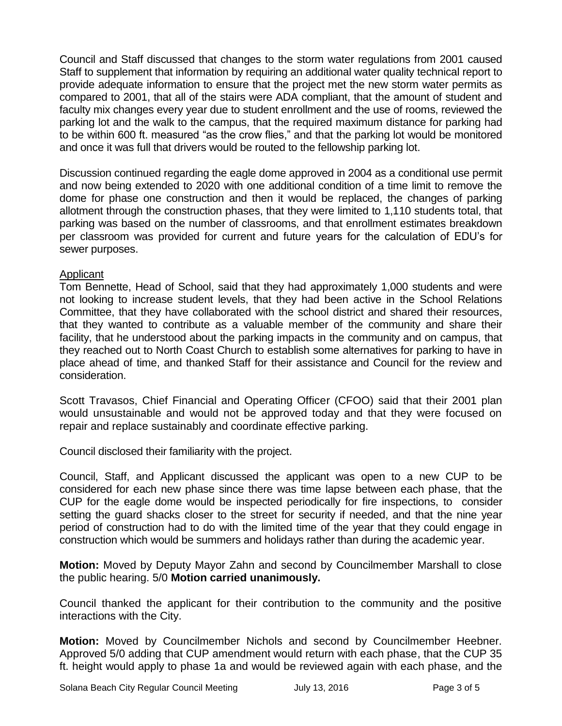Council and Staff discussed that changes to the storm water regulations from 2001 caused Staff to supplement that information by requiring an additional water quality technical report to provide adequate information to ensure that the project met the new storm water permits as compared to 2001, that all of the stairs were ADA compliant, that the amount of student and faculty mix changes every year due to student enrollment and the use of rooms, reviewed the parking lot and the walk to the campus, that the required maximum distance for parking had to be within 600 ft. measured "as the crow flies," and that the parking lot would be monitored and once it was full that drivers would be routed to the fellowship parking lot.

Discussion continued regarding the eagle dome approved in 2004 as a conditional use permit and now being extended to 2020 with one additional condition of a time limit to remove the dome for phase one construction and then it would be replaced, the changes of parking allotment through the construction phases, that they were limited to 1,110 students total, that parking was based on the number of classrooms, and that enrollment estimates breakdown per classroom was provided for current and future years for the calculation of EDU's for sewer purposes.

#### Applicant

Tom Bennette, Head of School, said that they had approximately 1,000 students and were not looking to increase student levels, that they had been active in the School Relations Committee, that they have collaborated with the school district and shared their resources, that they wanted to contribute as a valuable member of the community and share their facility, that he understood about the parking impacts in the community and on campus, that they reached out to North Coast Church to establish some alternatives for parking to have in place ahead of time, and thanked Staff for their assistance and Council for the review and consideration.

Scott Travasos, Chief Financial and Operating Officer (CFOO) said that their 2001 plan would unsustainable and would not be approved today and that they were focused on repair and replace sustainably and coordinate effective parking.

Council disclosed their familiarity with the project.

Council, Staff, and Applicant discussed the applicant was open to a new CUP to be considered for each new phase since there was time lapse between each phase, that the CUP for the eagle dome would be inspected periodically for fire inspections, to consider setting the guard shacks closer to the street for security if needed, and that the nine year period of construction had to do with the limited time of the year that they could engage in construction which would be summers and holidays rather than during the academic year.

**Motion:** Moved by Deputy Mayor Zahn and second by Councilmember Marshall to close the public hearing. 5/0 **Motion carried unanimously.**

Council thanked the applicant for their contribution to the community and the positive interactions with the City.

**Motion:** Moved by Councilmember Nichols and second by Councilmember Heebner. Approved 5/0 adding that CUP amendment would return with each phase, that the CUP 35 ft. height would apply to phase 1a and would be reviewed again with each phase, and the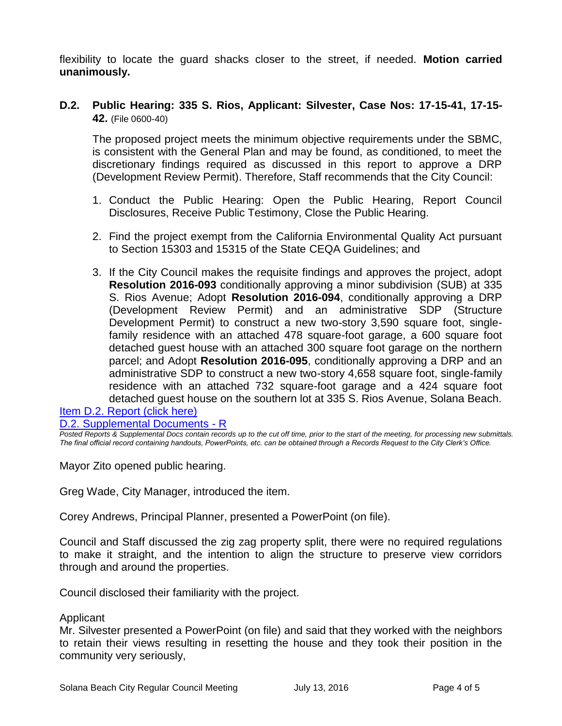flexibility to locate the guard shacks closer to the street, if needed. **Motion carried unanimously.**

#### **D.2. Public Hearing: 335 S. Rios, Applicant: Silvester, Case Nos: 17-15-41, 17-15- 42.** (File 0600-40)

The proposed project meets the minimum objective requirements under the SBMC, is consistent with the General Plan and may be found, as conditioned, to meet the discretionary findings required as discussed in this report to approve a DRP (Development Review Permit). Therefore, Staff recommends that the City Council:

- 1. Conduct the Public Hearing: Open the Public Hearing, Report Council Disclosures, Receive Public Testimony, Close the Public Hearing.
- 2. Find the project exempt from the California Environmental Quality Act pursuant to Section 15303 and 15315 of the State CEQA Guidelines; and
- 3. If the City Council makes the requisite findings and approves the project, adopt **Resolution 2016-093** conditionally approving a minor subdivision (SUB) at 335 S. Rios Avenue; Adopt **Resolution 2016-094**, conditionally approving a DRP (Development Review Permit) and an administrative SDP (Structure Development Permit) to construct a new two-story 3,590 square foot, singlefamily residence with an attached 478 square-foot garage, a 600 square foot detached guest house with an attached 300 square foot garage on the northern parcel; and Adopt **Resolution 2016-095**, conditionally approving a DRP and an administrative SDP to construct a new two-story 4,658 square foot, single-family residence with an attached 732 square-foot garage and a 424 square foot detached guest house on the southern lot at 335 S. Rios Avenue, Solana Beach.

[Item D.2. Report \(click here\)](https://solanabeach.govoffice3.com/vertical/Sites/%7B840804C2-F869-4904-9AE3-720581350CE7%7D/uploads/Item_D.2._Report_(click_here)_07-13-16.PDF) [D.2. Supplemental Documents -](https://solanabeach.govoffice3.com/vertical/Sites/%7B840804C2-F869-4904-9AE3-720581350CE7%7D/uploads/D.2._Supplemental_Documents_-_R.pdf) R

*Posted Reports & Supplemental Docs contain records up to the cut off time, prior to the start of the meeting, for processing new submittals. The final official record containing handouts, PowerPoints, etc. can be obtained through a Records Request to the City Clerk's Office.*

Mayor Zito opened public hearing.

Greg Wade, City Manager, introduced the item.

Corey Andrews, Principal Planner, presented a PowerPoint (on file).

Council and Staff discussed the zig zag property split, there were no required regulations to make it straight, and the intention to align the structure to preserve view corridors through and around the properties.

Council disclosed their familiarity with the project.

#### Applicant

Mr. Silvester presented a PowerPoint (on file) and said that they worked with the neighbors to retain their views resulting in resetting the house and they took their position in the community very seriously,